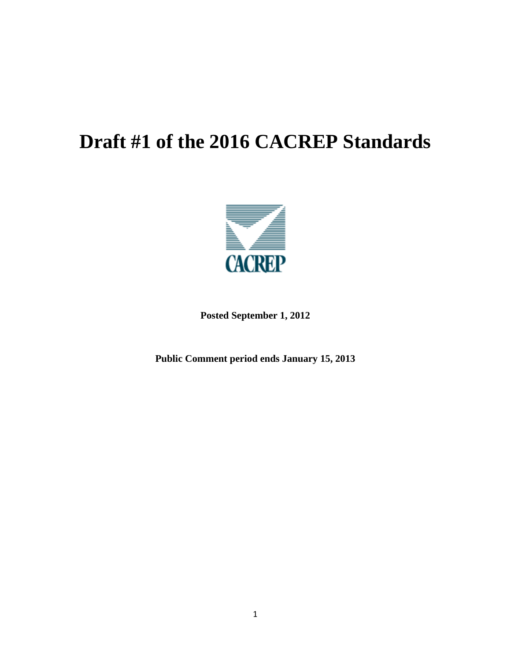# **Draft #1 of the 2016 CACREP Standards**



**Posted September 1, 2012** 

**Public Comment period ends January 15, 2013**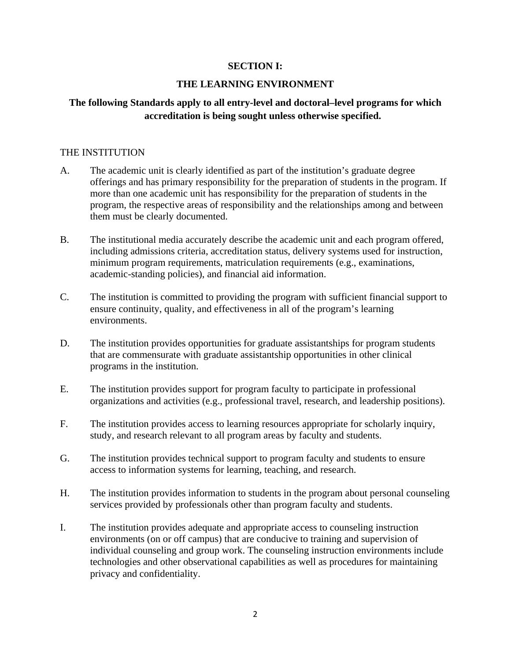#### **SECTION I:**

#### **THE LEARNING ENVIRONMENT**

# **The following Standards apply to all entry-level and doctoral–level programs for which accreditation is being sought unless otherwise specified.**

#### THE INSTITUTION

- A. The academic unit is clearly identified as part of the institution's graduate degree offerings and has primary responsibility for the preparation of students in the program. If more than one academic unit has responsibility for the preparation of students in the program, the respective areas of responsibility and the relationships among and between them must be clearly documented.
- B. The institutional media accurately describe the academic unit and each program offered, including admissions criteria, accreditation status, delivery systems used for instruction, minimum program requirements, matriculation requirements (e.g., examinations, academic-standing policies), and financial aid information.
- C. The institution is committed to providing the program with sufficient financial support to ensure continuity, quality, and effectiveness in all of the program's learning environments.
- D. The institution provides opportunities for graduate assistantships for program students that are commensurate with graduate assistantship opportunities in other clinical programs in the institution.
- E. The institution provides support for program faculty to participate in professional organizations and activities (e.g., professional travel, research, and leadership positions).
- F. The institution provides access to learning resources appropriate for scholarly inquiry, study, and research relevant to all program areas by faculty and students.
- G. The institution provides technical support to program faculty and students to ensure access to information systems for learning, teaching, and research.
- H. The institution provides information to students in the program about personal counseling services provided by professionals other than program faculty and students.
- I. The institution provides adequate and appropriate access to counseling instruction environments (on or off campus) that are conducive to training and supervision of individual counseling and group work. The counseling instruction environments include technologies and other observational capabilities as well as procedures for maintaining privacy and confidentiality.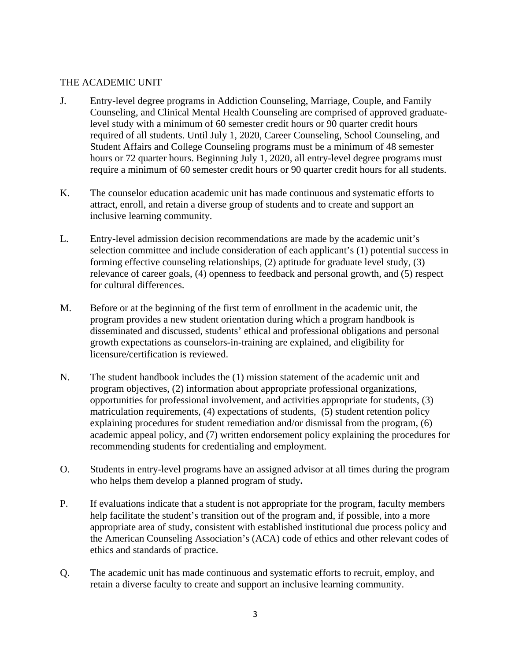# THE ACADEMIC UNIT

- J. Entry-level degree programs in Addiction Counseling, Marriage, Couple, and Family Counseling, and Clinical Mental Health Counseling are comprised of approved graduatelevel study with a minimum of 60 semester credit hours or 90 quarter credit hours required of all students. Until July 1, 2020, Career Counseling, School Counseling, and Student Affairs and College Counseling programs must be a minimum of 48 semester hours or 72 quarter hours. Beginning July 1, 2020, all entry-level degree programs must require a minimum of 60 semester credit hours or 90 quarter credit hours for all students.
- K. The counselor education academic unit has made continuous and systematic efforts to attract, enroll, and retain a diverse group of students and to create and support an inclusive learning community.
- L. Entry-level admission decision recommendations are made by the academic unit's selection committee and include consideration of each applicant's (1) potential success in forming effective counseling relationships, (2) aptitude for graduate level study, (3) relevance of career goals, (4) openness to feedback and personal growth, and (5) respect for cultural differences.
- M. Before or at the beginning of the first term of enrollment in the academic unit, the program provides a new student orientation during which a program handbook is disseminated and discussed, students' ethical and professional obligations and personal growth expectations as counselors-in-training are explained, and eligibility for licensure/certification is reviewed.
- N. The student handbook includes the (1) mission statement of the academic unit and program objectives, (2) information about appropriate professional organizations, opportunities for professional involvement, and activities appropriate for students, (3) matriculation requirements, (4) expectations of students, (5) student retention policy explaining procedures for student remediation and/or dismissal from the program, (6) academic appeal policy, and (7) written endorsement policy explaining the procedures for recommending students for credentialing and employment.
- O. Students in entry-level programs have an assigned advisor at all times during the program who helps them develop a planned program of study**.**
- P. If evaluations indicate that a student is not appropriate for the program, faculty members help facilitate the student's transition out of the program and, if possible, into a more appropriate area of study, consistent with established institutional due process policy and the American Counseling Association's (ACA) code of ethics and other relevant codes of ethics and standards of practice.
- Q. The academic unit has made continuous and systematic efforts to recruit, employ, and retain a diverse faculty to create and support an inclusive learning community.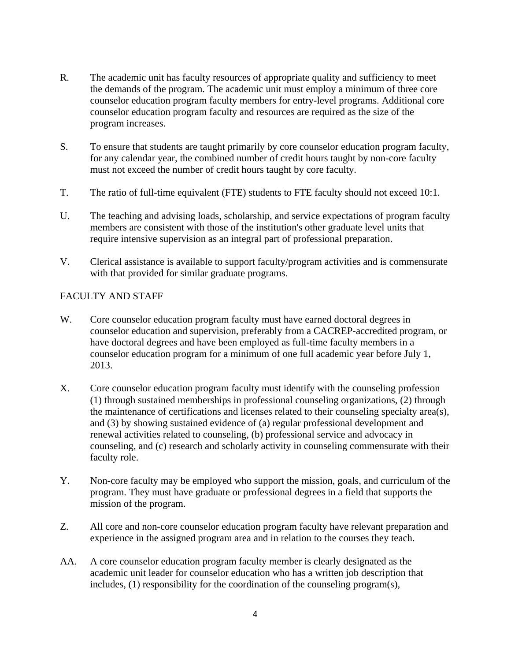- R. The academic unit has faculty resources of appropriate quality and sufficiency to meet the demands of the program. The academic unit must employ a minimum of three core counselor education program faculty members for entry-level programs. Additional core counselor education program faculty and resources are required as the size of the program increases.
- S. To ensure that students are taught primarily by core counselor education program faculty, for any calendar year, the combined number of credit hours taught by non-core faculty must not exceed the number of credit hours taught by core faculty.
- T. The ratio of full-time equivalent (FTE) students to FTE faculty should not exceed 10:1.
- U. The teaching and advising loads, scholarship, and service expectations of program faculty members are consistent with those of the institution's other graduate level units that require intensive supervision as an integral part of professional preparation.
- V. Clerical assistance is available to support faculty/program activities and is commensurate with that provided for similar graduate programs.

# FACULTY AND STAFF

- W. Core counselor education program faculty must have earned doctoral degrees in counselor education and supervision, preferably from a CACREP-accredited program, or have doctoral degrees and have been employed as full-time faculty members in a counselor education program for a minimum of one full academic year before July 1, 2013.
- X. Core counselor education program faculty must identify with the counseling profession (1) through sustained memberships in professional counseling organizations, (2) through the maintenance of certifications and licenses related to their counseling specialty area(s), and (3) by showing sustained evidence of (a) regular professional development and renewal activities related to counseling, (b) professional service and advocacy in counseling, and (c) research and scholarly activity in counseling commensurate with their faculty role.
- Y. Non-core faculty may be employed who support the mission, goals, and curriculum of the program. They must have graduate or professional degrees in a field that supports the mission of the program.
- Z. All core and non-core counselor education program faculty have relevant preparation and experience in the assigned program area and in relation to the courses they teach.
- AA. A core counselor education program faculty member is clearly designated as the academic unit leader for counselor education who has a written job description that includes, (1) responsibility for the coordination of the counseling program(s),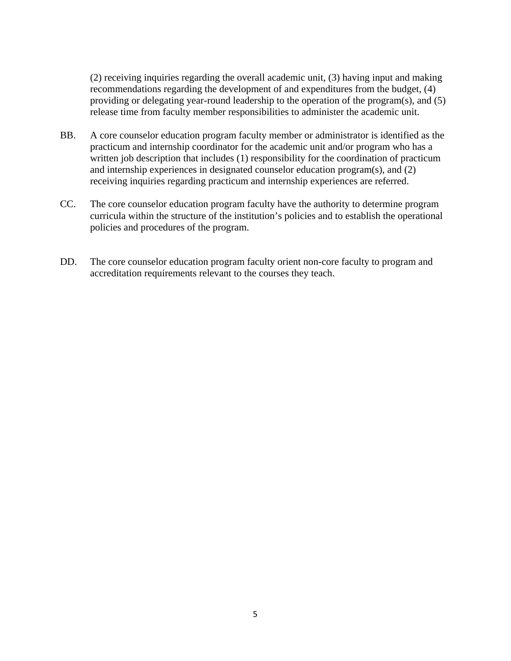(2) receiving inquiries regarding the overall academic unit, (3) having input and making recommendations regarding the development of and expenditures from the budget, (4) providing or delegating year-round leadership to the operation of the program(s), and (5) release time from faculty member responsibilities to administer the academic unit.

- BB. A core counselor education program faculty member or administrator is identified as the practicum and internship coordinator for the academic unit and/or program who has a written job description that includes (1) responsibility for the coordination of practicum and internship experiences in designated counselor education program(s), and (2) receiving inquiries regarding practicum and internship experiences are referred.
- CC. The core counselor education program faculty have the authority to determine program curricula within the structure of the institution's policies and to establish the operational policies and procedures of the program.
- DD. The core counselor education program faculty orient non-core faculty to program and accreditation requirements relevant to the courses they teach.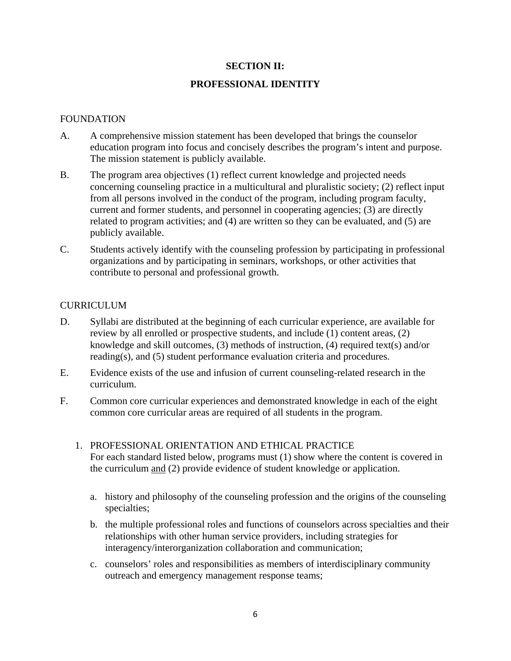#### **SECTION II:**

#### **PROFESSIONAL IDENTITY**

#### FOUNDATION

- A. A comprehensive mission statement has been developed that brings the counselor education program into focus and concisely describes the program's intent and purpose. The mission statement is publicly available.
- B. The program area objectives (1) reflect current knowledge and projected needs concerning counseling practice in a multicultural and pluralistic society; (2) reflect input from all persons involved in the conduct of the program, including program faculty, current and former students, and personnel in cooperating agencies; (3) are directly related to program activities; and (4) are written so they can be evaluated, and (5) are publicly available.
- C. Students actively identify with the counseling profession by participating in professional organizations and by participating in seminars, workshops, or other activities that contribute to personal and professional growth.

#### CURRICULUM

- D. Syllabi are distributed at the beginning of each curricular experience, are available for review by all enrolled or prospective students, and include (1) content areas, (2) knowledge and skill outcomes, (3) methods of instruction, (4) required text(s) and/or reading(s), and (5) student performance evaluation criteria and procedures.
- E. Evidence exists of the use and infusion of current counseling-related research in the curriculum.
- F. Common core curricular experiences and demonstrated knowledge in each of the eight common core curricular areas are required of all students in the program.
	- 1. PROFESSIONAL ORIENTATION AND ETHICAL PRACTICE For each standard listed below, programs must (1) show where the content is covered in the curriculum and (2) provide evidence of student knowledge or application.
		- a. history and philosophy of the counseling profession and the origins of the counseling specialties;
		- b. the multiple professional roles and functions of counselors across specialties and their relationships with other human service providers, including strategies for interagency/interorganization collaboration and communication;
		- c. counselors' roles and responsibilities as members of interdisciplinary community outreach and emergency management response teams;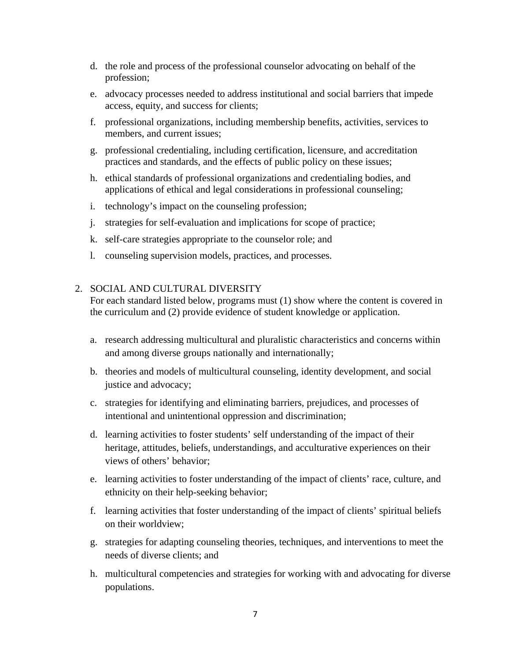- d. the role and process of the professional counselor advocating on behalf of the profession;
- e. advocacy processes needed to address institutional and social barriers that impede access, equity, and success for clients;
- f. professional organizations, including membership benefits, activities, services to members, and current issues;
- g. professional credentialing, including certification, licensure, and accreditation practices and standards, and the effects of public policy on these issues;
- h. ethical standards of professional organizations and credentialing bodies, and applications of ethical and legal considerations in professional counseling;
- i. technology's impact on the counseling profession;
- j. strategies for self-evaluation and implications for scope of practice;
- k. self-care strategies appropriate to the counselor role; and
- l. counseling supervision models, practices, and processes.

# 2. SOCIAL AND CULTURAL DIVERSITY

- a. research addressing multicultural and pluralistic characteristics and concerns within and among diverse groups nationally and internationally;
- b. theories and models of multicultural counseling, identity development, and social justice and advocacy;
- c. strategies for identifying and eliminating barriers, prejudices, and processes of intentional and unintentional oppression and discrimination;
- d. learning activities to foster students' self understanding of the impact of their heritage, attitudes, beliefs, understandings, and acculturative experiences on their views of others' behavior;
- e. learning activities to foster understanding of the impact of clients' race, culture, and ethnicity on their help-seeking behavior;
- f. learning activities that foster understanding of the impact of clients' spiritual beliefs on their worldview;
- g. strategies for adapting counseling theories, techniques, and interventions to meet the needs of diverse clients; and
- h. multicultural competencies and strategies for working with and advocating for diverse populations.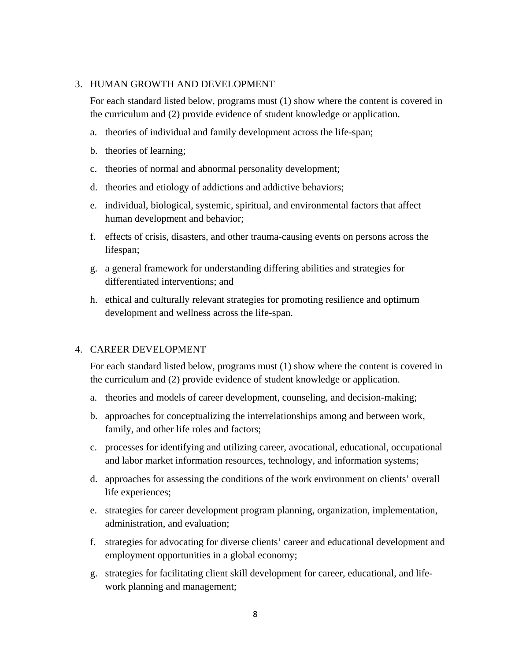#### 3. HUMAN GROWTH AND DEVELOPMENT

For each standard listed below, programs must (1) show where the content is covered in the curriculum and (2) provide evidence of student knowledge or application.

- a. theories of individual and family development across the life-span;
- b. theories of learning;
- c. theories of normal and abnormal personality development;
- d. theories and etiology of addictions and addictive behaviors;
- e. individual, biological, systemic, spiritual, and environmental factors that affect human development and behavior;
- f. effects of crisis, disasters, and other trauma-causing events on persons across the lifespan;
- g. a general framework for understanding differing abilities and strategies for differentiated interventions; and
- h. ethical and culturally relevant strategies for promoting resilience and optimum development and wellness across the life-span.

#### 4. CAREER DEVELOPMENT

- a. theories and models of career development, counseling, and decision-making;
- b. approaches for conceptualizing the interrelationships among and between work, family, and other life roles and factors;
- c. processes for identifying and utilizing career, avocational, educational, occupational and labor market information resources, technology, and information systems;
- d. approaches for assessing the conditions of the work environment on clients' overall life experiences;
- e. strategies for career development program planning, organization, implementation, administration, and evaluation;
- f. strategies for advocating for diverse clients' career and educational development and employment opportunities in a global economy;
- g. strategies for facilitating client skill development for career, educational, and lifework planning and management;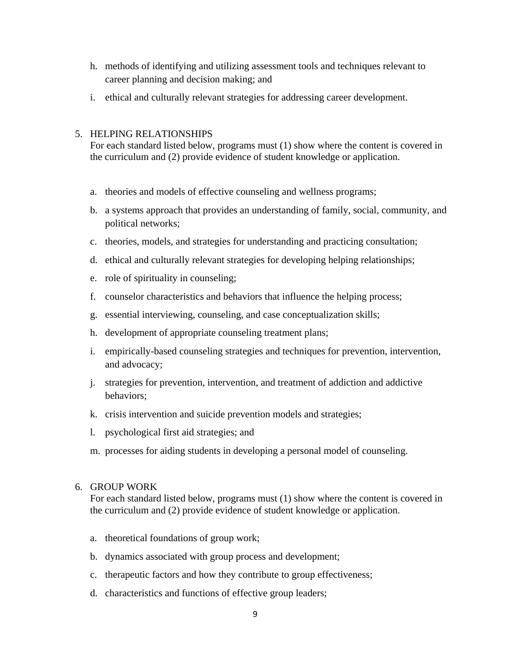- h. methods of identifying and utilizing assessment tools and techniques relevant to career planning and decision making; and
- i. ethical and culturally relevant strategies for addressing career development.

# 5. HELPING RELATIONSHIPS

For each standard listed below, programs must (1) show where the content is covered in the curriculum and (2) provide evidence of student knowledge or application.

- a. theories and models of effective counseling and wellness programs;
- b. a systems approach that provides an understanding of family, social, community, and political networks;
- c. theories, models, and strategies for understanding and practicing consultation;
- d. ethical and culturally relevant strategies for developing helping relationships;
- e. role of spirituality in counseling;
- f. counselor characteristics and behaviors that influence the helping process;
- g. essential interviewing, counseling, and case conceptualization skills;
- h. development of appropriate counseling treatment plans;
- i. empirically-based counseling strategies and techniques for prevention, intervention, and advocacy;
- j. strategies for prevention, intervention, and treatment of addiction and addictive behaviors;
- k. crisis intervention and suicide prevention models and strategies;
- l. psychological first aid strategies; and
- m. processes for aiding students in developing a personal model of counseling.

# 6. GROUP WORK

- a. theoretical foundations of group work;
- b. dynamics associated with group process and development;
- c. therapeutic factors and how they contribute to group effectiveness;
- d. characteristics and functions of effective group leaders;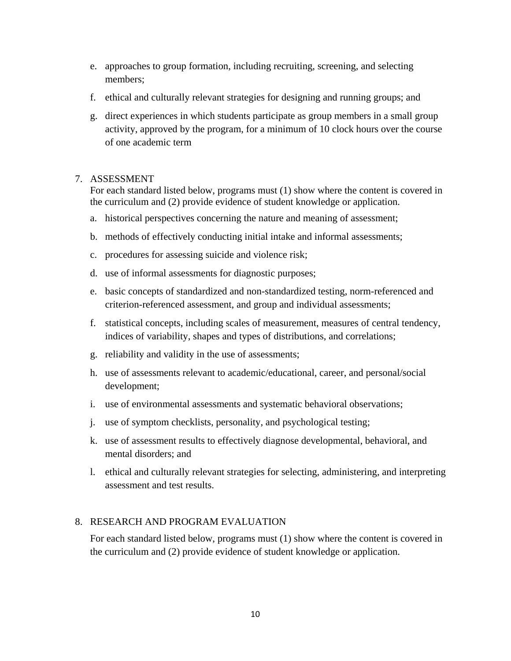- e. approaches to group formation, including recruiting, screening, and selecting members;
- f. ethical and culturally relevant strategies for designing and running groups; and
- g. direct experiences in which students participate as group members in a small group activity, approved by the program, for a minimum of 10 clock hours over the course of one academic term

# 7. ASSESSMENT

For each standard listed below, programs must (1) show where the content is covered in the curriculum and (2) provide evidence of student knowledge or application.

- a. historical perspectives concerning the nature and meaning of assessment;
- b. methods of effectively conducting initial intake and informal assessments;
- c. procedures for assessing suicide and violence risk;
- d. use of informal assessments for diagnostic purposes;
- e. basic concepts of standardized and non-standardized testing, norm-referenced and criterion-referenced assessment, and group and individual assessments;
- f. statistical concepts, including scales of measurement, measures of central tendency, indices of variability, shapes and types of distributions, and correlations;
- g. reliability and validity in the use of assessments;
- h. use of assessments relevant to academic/educational, career, and personal/social development;
- i. use of environmental assessments and systematic behavioral observations;
- j. use of symptom checklists, personality, and psychological testing;
- k. use of assessment results to effectively diagnose developmental, behavioral, and mental disorders; and
- l. ethical and culturally relevant strategies for selecting, administering, and interpreting assessment and test results.

#### 8. RESEARCH AND PROGRAM EVALUATION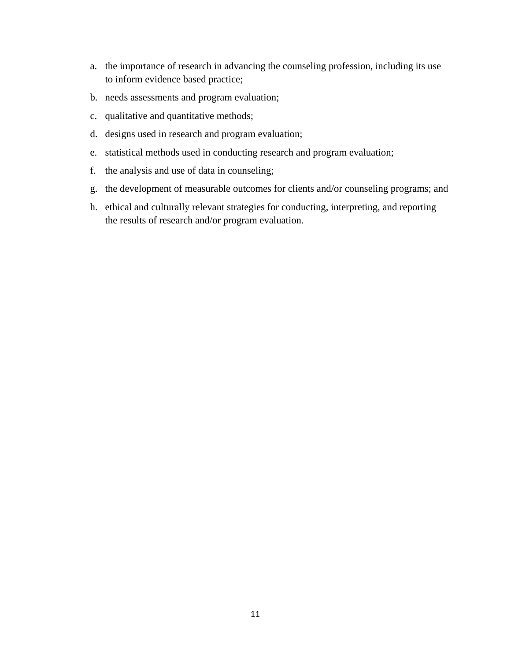- a. the importance of research in advancing the counseling profession, including its use to inform evidence based practice;
- b. needs assessments and program evaluation;
- c. qualitative and quantitative methods;
- d. designs used in research and program evaluation;
- e. statistical methods used in conducting research and program evaluation;
- f. the analysis and use of data in counseling;
- g. the development of measurable outcomes for clients and/or counseling programs; and
- h. ethical and culturally relevant strategies for conducting, interpreting, and reporting the results of research and/or program evaluation.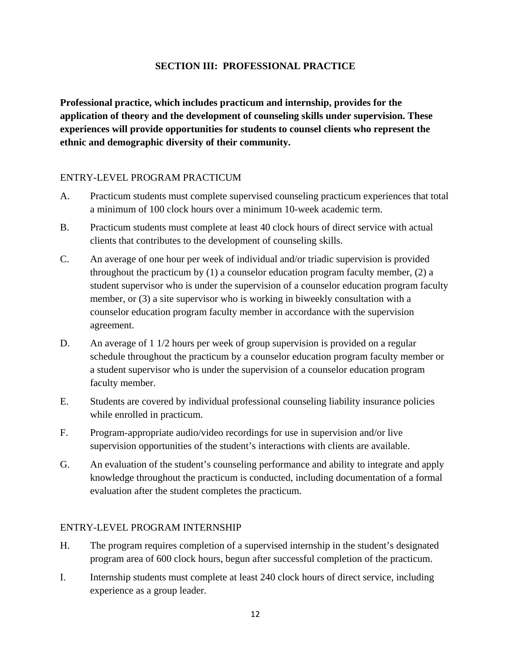# **SECTION III: PROFESSIONAL PRACTICE**

**Professional practice, which includes practicum and internship, provides for the application of theory and the development of counseling skills under supervision. These experiences will provide opportunities for students to counsel clients who represent the ethnic and demographic diversity of their community.** 

# ENTRY-LEVEL PROGRAM PRACTICUM

- A. Practicum students must complete supervised counseling practicum experiences that total a minimum of 100 clock hours over a minimum 10-week academic term.
- B. Practicum students must complete at least 40 clock hours of direct service with actual clients that contributes to the development of counseling skills.
- C. An average of one hour per week of individual and/or triadic supervision is provided throughout the practicum by  $(1)$  a counselor education program faculty member,  $(2)$  a student supervisor who is under the supervision of a counselor education program faculty member, or (3) a site supervisor who is working in biweekly consultation with a counselor education program faculty member in accordance with the supervision agreement.
- D. An average of 1 1/2 hours per week of group supervision is provided on a regular schedule throughout the practicum by a counselor education program faculty member or a student supervisor who is under the supervision of a counselor education program faculty member.
- E. Students are covered by individual professional counseling liability insurance policies while enrolled in practicum.
- F. Program-appropriate audio/video recordings for use in supervision and/or live supervision opportunities of the student's interactions with clients are available.
- G. An evaluation of the student's counseling performance and ability to integrate and apply knowledge throughout the practicum is conducted, including documentation of a formal evaluation after the student completes the practicum.

#### ENTRY-LEVEL PROGRAM INTERNSHIP

- H. The program requires completion of a supervised internship in the student's designated program area of 600 clock hours, begun after successful completion of the practicum.
- I. Internship students must complete at least 240 clock hours of direct service, including experience as a group leader.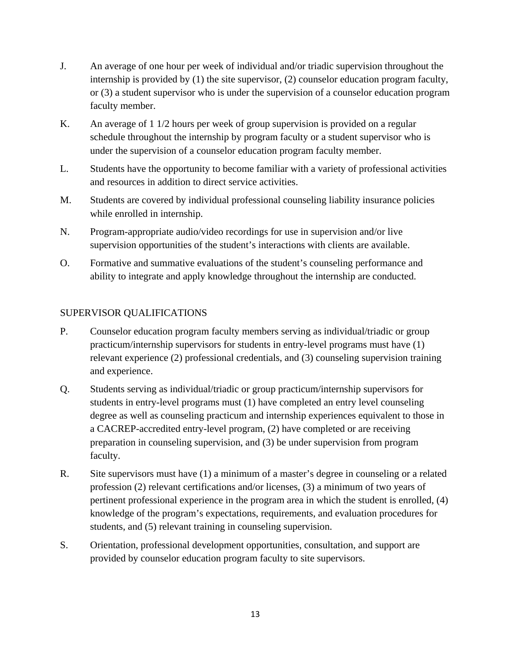- J. An average of one hour per week of individual and/or triadic supervision throughout the internship is provided by (1) the site supervisor, (2) counselor education program faculty, or (3) a student supervisor who is under the supervision of a counselor education program faculty member.
- K. An average of 1 1/2 hours per week of group supervision is provided on a regular schedule throughout the internship by program faculty or a student supervisor who is under the supervision of a counselor education program faculty member.
- L. Students have the opportunity to become familiar with a variety of professional activities and resources in addition to direct service activities.
- M. Students are covered by individual professional counseling liability insurance policies while enrolled in internship.
- N. Program-appropriate audio/video recordings for use in supervision and/or live supervision opportunities of the student's interactions with clients are available.
- O. Formative and summative evaluations of the student's counseling performance and ability to integrate and apply knowledge throughout the internship are conducted.

# SUPERVISOR QUALIFICATIONS

- P. Counselor education program faculty members serving as individual/triadic or group practicum/internship supervisors for students in entry-level programs must have (1) relevant experience (2) professional credentials, and (3) counseling supervision training and experience.
- Q. Students serving as individual/triadic or group practicum/internship supervisors for students in entry-level programs must (1) have completed an entry level counseling degree as well as counseling practicum and internship experiences equivalent to those in a CACREP-accredited entry-level program, (2) have completed or are receiving preparation in counseling supervision, and (3) be under supervision from program faculty.
- R. Site supervisors must have (1) a minimum of a master's degree in counseling or a related profession (2) relevant certifications and/or licenses, (3) a minimum of two years of pertinent professional experience in the program area in which the student is enrolled, (4) knowledge of the program's expectations, requirements, and evaluation procedures for students, and (5) relevant training in counseling supervision.
- S. Orientation, professional development opportunities, consultation, and support are provided by counselor education program faculty to site supervisors.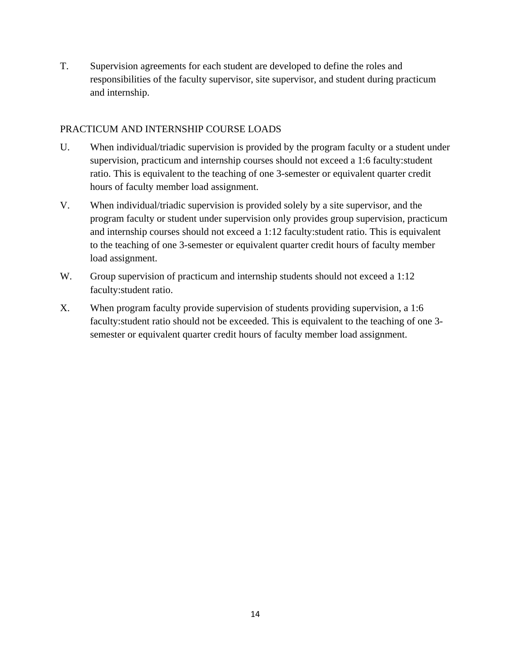T. Supervision agreements for each student are developed to define the roles and responsibilities of the faculty supervisor, site supervisor, and student during practicum and internship.

# PRACTICUM AND INTERNSHIP COURSE LOADS

- U. When individual/triadic supervision is provided by the program faculty or a student under supervision, practicum and internship courses should not exceed a 1:6 faculty:student ratio. This is equivalent to the teaching of one 3-semester or equivalent quarter credit hours of faculty member load assignment.
- V. When individual/triadic supervision is provided solely by a site supervisor, and the program faculty or student under supervision only provides group supervision, practicum and internship courses should not exceed a 1:12 faculty:student ratio. This is equivalent to the teaching of one 3-semester or equivalent quarter credit hours of faculty member load assignment.
- W. Group supervision of practicum and internship students should not exceed a 1:12 faculty:student ratio.
- X. When program faculty provide supervision of students providing supervision, a 1:6 faculty:student ratio should not be exceeded. This is equivalent to the teaching of one 3 semester or equivalent quarter credit hours of faculty member load assignment.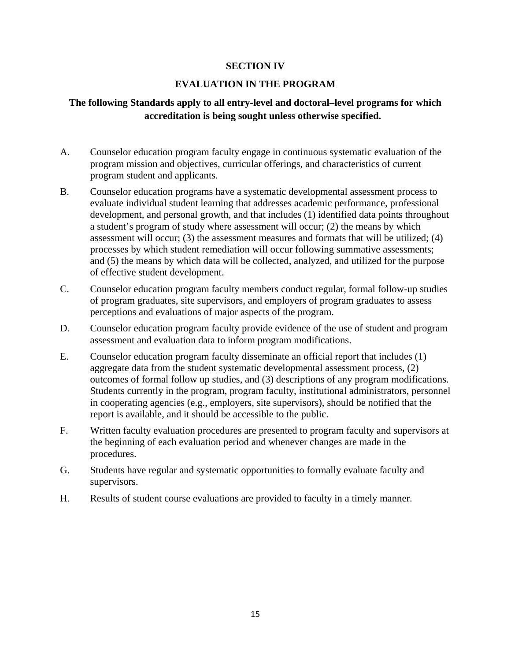# **SECTION IV**

# **EVALUATION IN THE PROGRAM**

# **The following Standards apply to all entry-level and doctoral–level programs for which accreditation is being sought unless otherwise specified.**

- A. Counselor education program faculty engage in continuous systematic evaluation of the program mission and objectives, curricular offerings, and characteristics of current program student and applicants.
- B. Counselor education programs have a systematic developmental assessment process to evaluate individual student learning that addresses academic performance, professional development, and personal growth, and that includes (1) identified data points throughout a student's program of study where assessment will occur; (2) the means by which assessment will occur; (3) the assessment measures and formats that will be utilized; (4) processes by which student remediation will occur following summative assessments; and (5) the means by which data will be collected, analyzed, and utilized for the purpose of effective student development.
- C. Counselor education program faculty members conduct regular, formal follow-up studies of program graduates, site supervisors, and employers of program graduates to assess perceptions and evaluations of major aspects of the program.
- D. Counselor education program faculty provide evidence of the use of student and program assessment and evaluation data to inform program modifications.
- E. Counselor education program faculty disseminate an official report that includes (1) aggregate data from the student systematic developmental assessment process, (2) outcomes of formal follow up studies, and (3) descriptions of any program modifications. Students currently in the program, program faculty, institutional administrators, personnel in cooperating agencies (e.g., employers, site supervisors), should be notified that the report is available, and it should be accessible to the public.
- F. Written faculty evaluation procedures are presented to program faculty and supervisors at the beginning of each evaluation period and whenever changes are made in the procedures.
- G. Students have regular and systematic opportunities to formally evaluate faculty and supervisors.
- H. Results of student course evaluations are provided to faculty in a timely manner.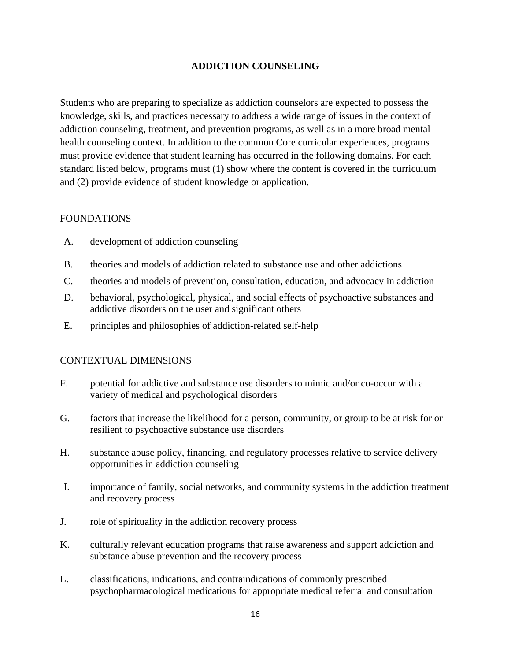# **ADDICTION COUNSELING**

Students who are preparing to specialize as addiction counselors are expected to possess the knowledge, skills, and practices necessary to address a wide range of issues in the context of addiction counseling, treatment, and prevention programs, as well as in a more broad mental health counseling context. In addition to the common Core curricular experiences, programs must provide evidence that student learning has occurred in the following domains. For each standard listed below, programs must (1) show where the content is covered in the curriculum and (2) provide evidence of student knowledge or application.

# **FOUNDATIONS**

- A. development of addiction counseling
- B. theories and models of addiction related to substance use and other addictions
- C. theories and models of prevention, consultation, education, and advocacy in addiction
- D. behavioral, psychological, physical, and social effects of psychoactive substances and addictive disorders on the user and significant others
- E. principles and philosophies of addiction-related self-help

- F. potential for addictive and substance use disorders to mimic and/or co-occur with a variety of medical and psychological disorders
- G. factors that increase the likelihood for a person, community, or group to be at risk for or resilient to psychoactive substance use disorders
- H. substance abuse policy, financing, and regulatory processes relative to service delivery opportunities in addiction counseling
- I. importance of family, social networks, and community systems in the addiction treatment and recovery process
- J. role of spirituality in the addiction recovery process
- K. culturally relevant education programs that raise awareness and support addiction and substance abuse prevention and the recovery process
- L. classifications, indications, and contraindications of commonly prescribed psychopharmacological medications for appropriate medical referral and consultation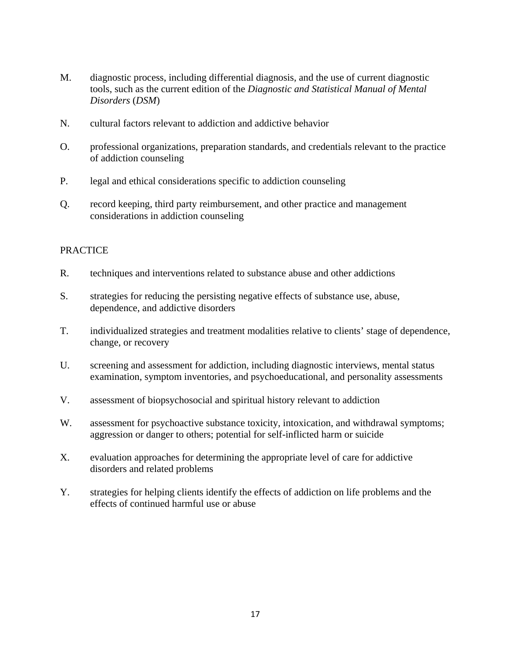- M. diagnostic process, including differential diagnosis, and the use of current diagnostic tools, such as the current edition of the *Diagnostic and Statistical Manual of Mental Disorders* (*DSM*)
- N. cultural factors relevant to addiction and addictive behavior
- O. professional organizations, preparation standards, and credentials relevant to the practice of addiction counseling
- P. legal and ethical considerations specific to addiction counseling
- Q. record keeping, third party reimbursement, and other practice and management considerations in addiction counseling

- R. techniques and interventions related to substance abuse and other addictions
- S. strategies for reducing the persisting negative effects of substance use, abuse, dependence, and addictive disorders
- T. individualized strategies and treatment modalities relative to clients' stage of dependence, change, or recovery
- U. screening and assessment for addiction, including diagnostic interviews, mental status examination, symptom inventories, and psychoeducational, and personality assessments
- V. assessment of biopsychosocial and spiritual history relevant to addiction
- W. assessment for psychoactive substance toxicity, intoxication, and withdrawal symptoms; aggression or danger to others; potential for self-inflicted harm or suicide
- X. evaluation approaches for determining the appropriate level of care for addictive disorders and related problems
- Y. strategies for helping clients identify the effects of addiction on life problems and the effects of continued harmful use or abuse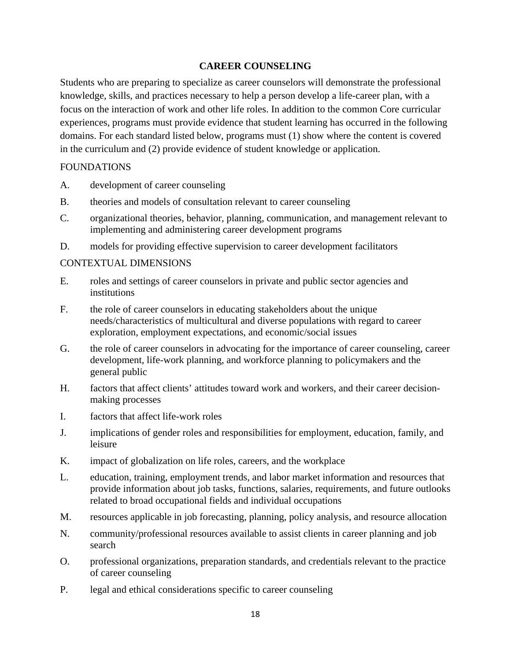#### **CAREER COUNSELING**

Students who are preparing to specialize as career counselors will demonstrate the professional knowledge, skills, and practices necessary to help a person develop a life-career plan, with a focus on the interaction of work and other life roles. In addition to the common Core curricular experiences, programs must provide evidence that student learning has occurred in the following domains. For each standard listed below, programs must (1) show where the content is covered in the curriculum and (2) provide evidence of student knowledge or application.

#### FOUNDATIONS

- A. development of career counseling
- B. theories and models of consultation relevant to career counseling
- C. organizational theories, behavior, planning, communication, and management relevant to implementing and administering career development programs
- D. models for providing effective supervision to career development facilitators

- E. roles and settings of career counselors in private and public sector agencies and institutions
- F. the role of career counselors in educating stakeholders about the unique needs/characteristics of multicultural and diverse populations with regard to career exploration, employment expectations, and economic/social issues
- G. the role of career counselors in advocating for the importance of career counseling, career development, life-work planning, and workforce planning to policymakers and the general public
- H. factors that affect clients' attitudes toward work and workers, and their career decisionmaking processes
- I. factors that affect life-work roles
- J. implications of gender roles and responsibilities for employment, education, family, and leisure
- K. impact of globalization on life roles, careers, and the workplace
- L. education, training, employment trends, and labor market information and resources that provide information about job tasks, functions, salaries, requirements, and future outlooks related to broad occupational fields and individual occupations
- M. resources applicable in job forecasting, planning, policy analysis, and resource allocation
- N. community/professional resources available to assist clients in career planning and job search
- O. professional organizations, preparation standards, and credentials relevant to the practice of career counseling
- P. legal and ethical considerations specific to career counseling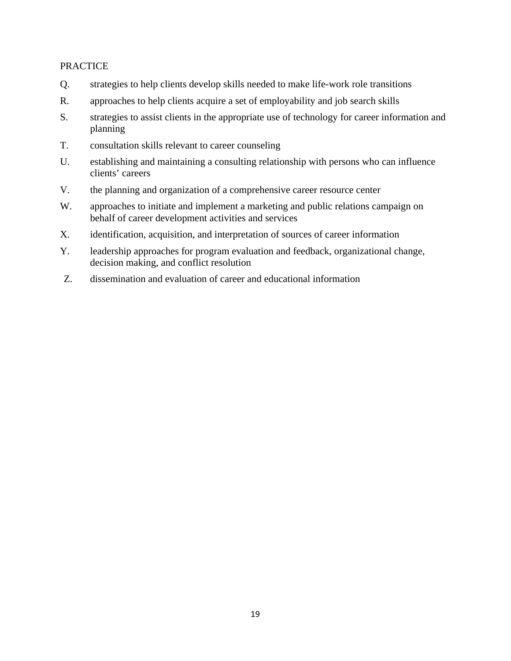- Q. strategies to help clients develop skills needed to make life-work role transitions
- R. approaches to help clients acquire a set of employability and job search skills
- S. strategies to assist clients in the appropriate use of technology for career information and planning
- T. consultation skills relevant to career counseling
- U. establishing and maintaining a consulting relationship with persons who can influence clients' careers
- V. the planning and organization of a comprehensive career resource center
- W. approaches to initiate and implement a marketing and public relations campaign on behalf of career development activities and services
- X. identification, acquisition, and interpretation of sources of career information
- Y. leadership approaches for program evaluation and feedback, organizational change, decision making, and conflict resolution
- Z. dissemination and evaluation of career and educational information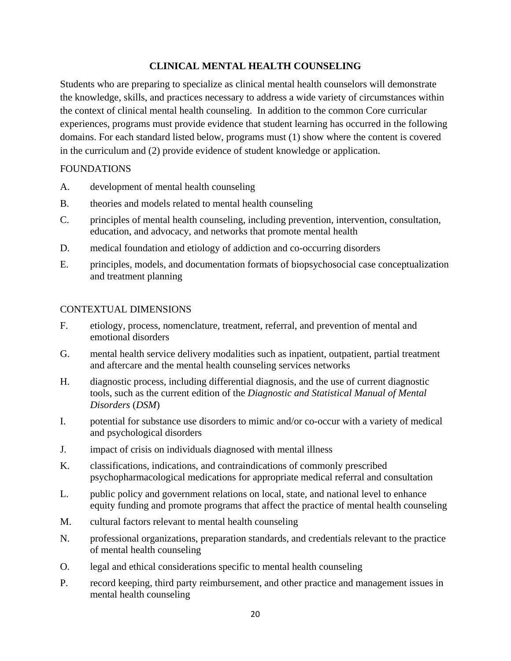# **CLINICAL MENTAL HEALTH COUNSELING**

Students who are preparing to specialize as clinical mental health counselors will demonstrate the knowledge, skills, and practices necessary to address a wide variety of circumstances within the context of clinical mental health counseling. In addition to the common Core curricular experiences, programs must provide evidence that student learning has occurred in the following domains. For each standard listed below, programs must (1) show where the content is covered in the curriculum and (2) provide evidence of student knowledge or application.

# FOUNDATIONS

- A. development of mental health counseling
- B. theories and models related to mental health counseling
- C. principles of mental health counseling, including prevention, intervention, consultation, education, and advocacy, and networks that promote mental health
- D. medical foundation and etiology of addiction and co-occurring disorders
- E. principles, models, and documentation formats of biopsychosocial case conceptualization and treatment planning

- F. etiology, process, nomenclature, treatment, referral, and prevention of mental and emotional disorders
- G. mental health service delivery modalities such as inpatient, outpatient, partial treatment and aftercare and the mental health counseling services networks
- H. diagnostic process, including differential diagnosis, and the use of current diagnostic tools, such as the current edition of the *Diagnostic and Statistical Manual of Mental Disorders* (*DSM*)
- I. potential for substance use disorders to mimic and/or co-occur with a variety of medical and psychological disorders
- J. impact of crisis on individuals diagnosed with mental illness
- K. classifications, indications, and contraindications of commonly prescribed psychopharmacological medications for appropriate medical referral and consultation
- L. public policy and government relations on local, state, and national level to enhance equity funding and promote programs that affect the practice of mental health counseling
- M. cultural factors relevant to mental health counseling
- N. professional organizations, preparation standards, and credentials relevant to the practice of mental health counseling
- O. legal and ethical considerations specific to mental health counseling
- P. record keeping, third party reimbursement, and other practice and management issues in mental health counseling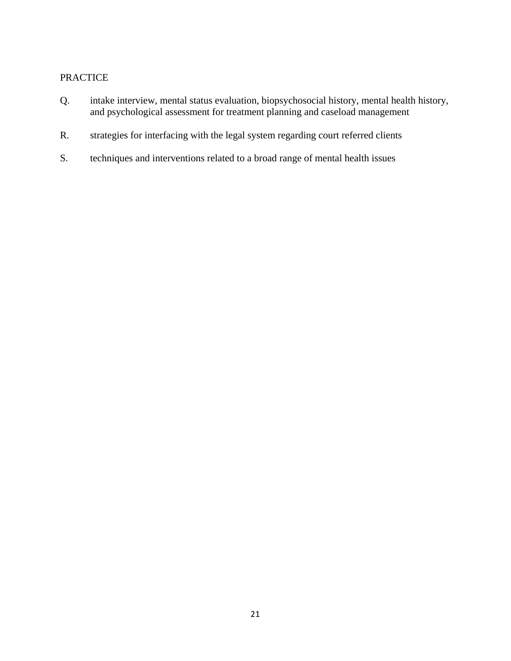- Q. intake interview, mental status evaluation, biopsychosocial history, mental health history, and psychological assessment for treatment planning and caseload management
- R. strategies for interfacing with the legal system regarding court referred clients
- S. techniques and interventions related to a broad range of mental health issues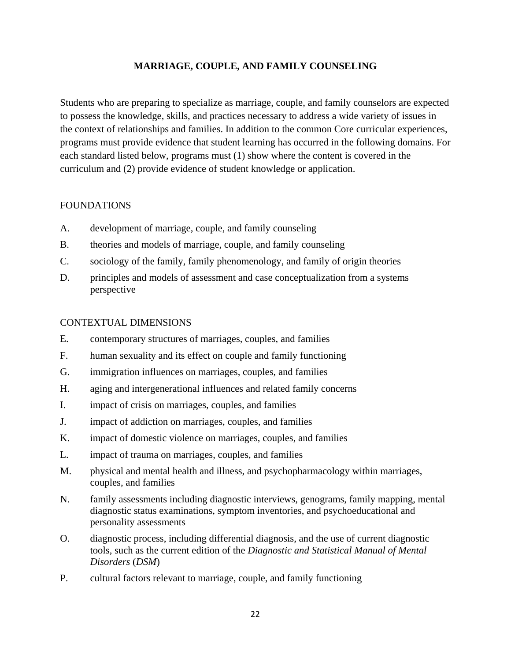# **MARRIAGE, COUPLE, AND FAMILY COUNSELING**

Students who are preparing to specialize as marriage, couple, and family counselors are expected to possess the knowledge, skills, and practices necessary to address a wide variety of issues in the context of relationships and families. In addition to the common Core curricular experiences, programs must provide evidence that student learning has occurred in the following domains. For each standard listed below, programs must (1) show where the content is covered in the curriculum and (2) provide evidence of student knowledge or application.

#### **FOUNDATIONS**

- A. development of marriage, couple, and family counseling
- B. theories and models of marriage, couple, and family counseling
- C. sociology of the family, family phenomenology, and family of origin theories
- D. principles and models of assessment and case conceptualization from a systems perspective

- E. contemporary structures of marriages, couples, and families
- F. human sexuality and its effect on couple and family functioning
- G. immigration influences on marriages, couples, and families
- H. aging and intergenerational influences and related family concerns
- I. impact of crisis on marriages, couples, and families
- J. impact of addiction on marriages, couples, and families
- K. impact of domestic violence on marriages, couples, and families
- L. impact of trauma on marriages, couples, and families
- M. physical and mental health and illness, and psychopharmacology within marriages, couples, and families
- N. family assessments including diagnostic interviews, genograms, family mapping, mental diagnostic status examinations, symptom inventories, and psychoeducational and personality assessments
- O. diagnostic process, including differential diagnosis, and the use of current diagnostic tools, such as the current edition of the *Diagnostic and Statistical Manual of Mental Disorders* (*DSM*)
- P. cultural factors relevant to marriage, couple, and family functioning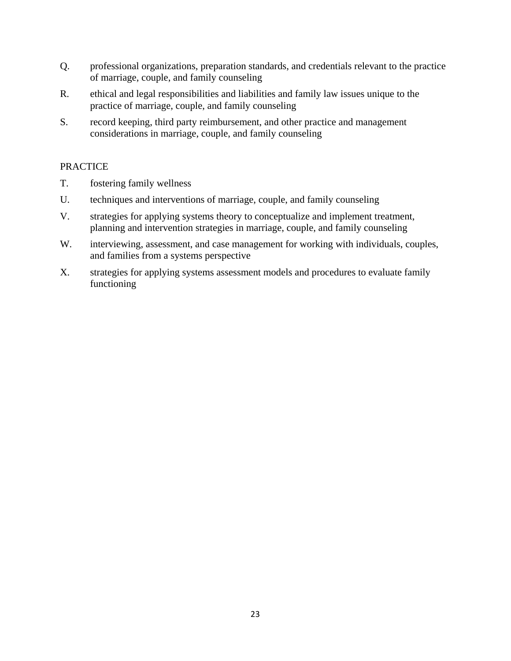- Q. professional organizations, preparation standards, and credentials relevant to the practice of marriage, couple, and family counseling
- R. ethical and legal responsibilities and liabilities and family law issues unique to the practice of marriage, couple, and family counseling
- S. record keeping, third party reimbursement, and other practice and management considerations in marriage, couple, and family counseling

- T. fostering family wellness
- U. techniques and interventions of marriage, couple, and family counseling
- V. strategies for applying systems theory to conceptualize and implement treatment, planning and intervention strategies in marriage, couple, and family counseling
- W. interviewing, assessment, and case management for working with individuals, couples, and families from a systems perspective
- X. strategies for applying systems assessment models and procedures to evaluate family functioning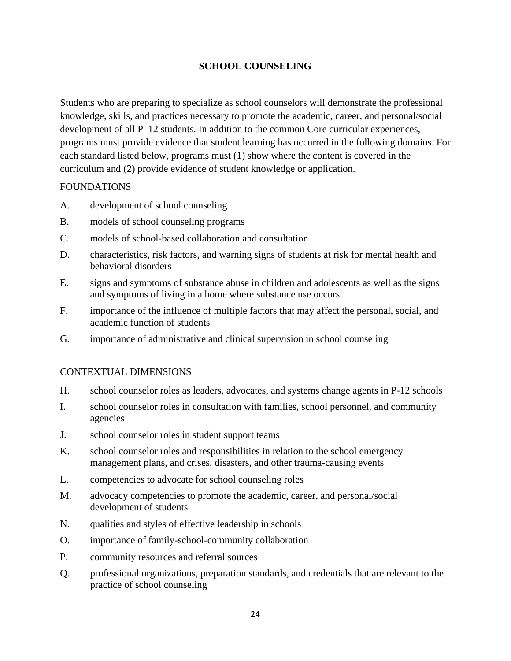# **SCHOOL COUNSELING**

Students who are preparing to specialize as school counselors will demonstrate the professional knowledge, skills, and practices necessary to promote the academic, career, and personal/social development of all P–12 students. In addition to the common Core curricular experiences, programs must provide evidence that student learning has occurred in the following domains. For each standard listed below, programs must (1) show where the content is covered in the curriculum and (2) provide evidence of student knowledge or application.

#### FOUNDATIONS

- A. development of school counseling
- B. models of school counseling programs
- C. models of school-based collaboration and consultation
- D. characteristics, risk factors, and warning signs of students at risk for mental health and behavioral disorders
- E. signs and symptoms of substance abuse in children and adolescents as well as the signs and symptoms of living in a home where substance use occurs
- F. importance of the influence of multiple factors that may affect the personal, social, and academic function of students
- G. importance of administrative and clinical supervision in school counseling

- H. school counselor roles as leaders, advocates, and systems change agents in P-12 schools
- I. school counselor roles in consultation with families, school personnel, and community agencies
- J. school counselor roles in student support teams
- K. school counselor roles and responsibilities in relation to the school emergency management plans, and crises, disasters, and other trauma-causing events
- L. competencies to advocate for school counseling roles
- M. advocacy competencies to promote the academic, career, and personal/social development of students
- N. qualities and styles of effective leadership in schools
- O. importance of family-school-community collaboration
- P. community resources and referral sources
- Q. professional organizations, preparation standards, and credentials that are relevant to the practice of school counseling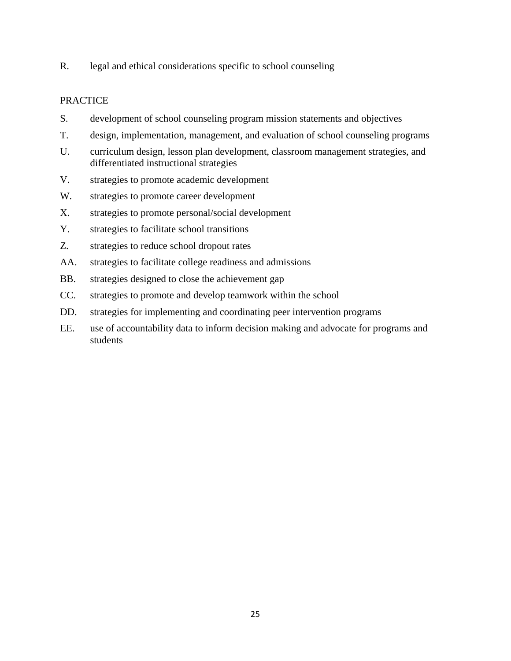R. legal and ethical considerations specific to school counseling

- S. development of school counseling program mission statements and objectives
- T. design, implementation, management, and evaluation of school counseling programs
- U. curriculum design, lesson plan development, classroom management strategies, and differentiated instructional strategies
- V. strategies to promote academic development
- W. strategies to promote career development
- X. strategies to promote personal/social development
- Y. strategies to facilitate school transitions
- Z. strategies to reduce school dropout rates
- AA. strategies to facilitate college readiness and admissions
- BB. strategies designed to close the achievement gap
- CC. strategies to promote and develop teamwork within the school
- DD. strategies for implementing and coordinating peer intervention programs
- EE. use of accountability data to inform decision making and advocate for programs and students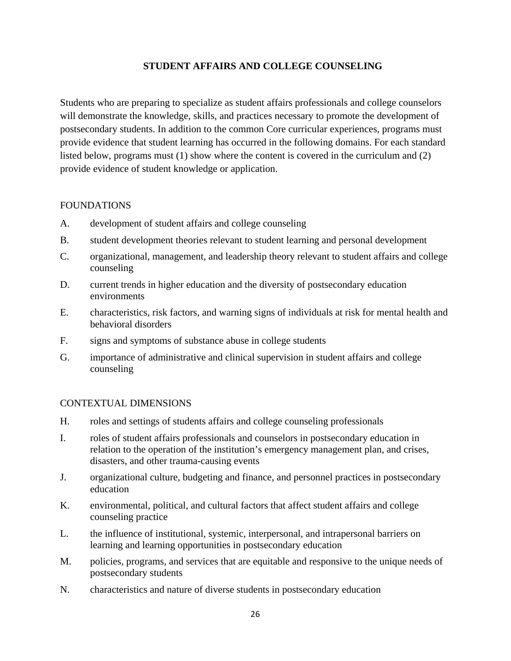# **STUDENT AFFAIRS AND COLLEGE COUNSELING**

Students who are preparing to specialize as student affairs professionals and college counselors will demonstrate the knowledge, skills, and practices necessary to promote the development of postsecondary students. In addition to the common Core curricular experiences, programs must provide evidence that student learning has occurred in the following domains. For each standard listed below, programs must (1) show where the content is covered in the curriculum and (2) provide evidence of student knowledge or application.

#### **FOUNDATIONS**

- A. development of student affairs and college counseling
- B. student development theories relevant to student learning and personal development
- C. organizational, management, and leadership theory relevant to student affairs and college counseling
- D. current trends in higher education and the diversity of postsecondary education environments
- E. characteristics, risk factors, and warning signs of individuals at risk for mental health and behavioral disorders
- F. signs and symptoms of substance abuse in college students
- G. importance of administrative and clinical supervision in student affairs and college counseling

- H. roles and settings of students affairs and college counseling professionals
- I. roles of student affairs professionals and counselors in postsecondary education in relation to the operation of the institution's emergency management plan, and crises, disasters, and other trauma-causing events
- J. organizational culture, budgeting and finance, and personnel practices in postsecondary education
- K. environmental, political, and cultural factors that affect student affairs and college counseling practice
- L. the influence of institutional, systemic, interpersonal, and intrapersonal barriers on learning and learning opportunities in postsecondary education
- M. policies, programs, and services that are equitable and responsive to the unique needs of postsecondary students
- N. characteristics and nature of diverse students in postsecondary education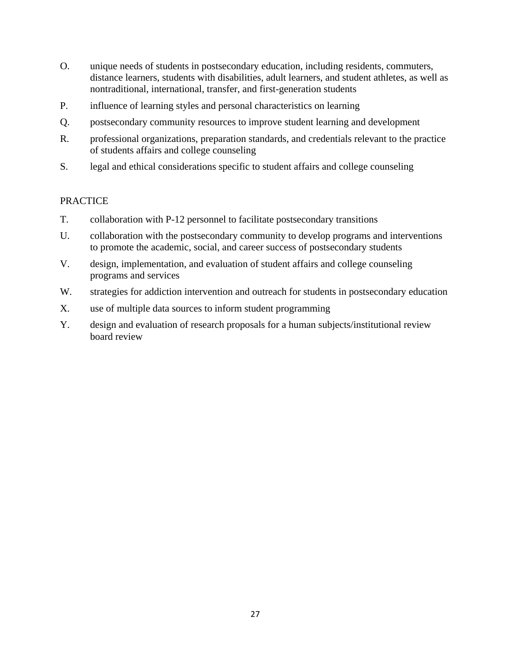- O. unique needs of students in postsecondary education, including residents, commuters, distance learners, students with disabilities, adult learners, and student athletes, as well as nontraditional, international, transfer, and first-generation students
- P. influence of learning styles and personal characteristics on learning
- Q. postsecondary community resources to improve student learning and development
- R. professional organizations, preparation standards, and credentials relevant to the practice of students affairs and college counseling
- S. legal and ethical considerations specific to student affairs and college counseling

- T. collaboration with P-12 personnel to facilitate postsecondary transitions
- U. collaboration with the postsecondary community to develop programs and interventions to promote the academic, social, and career success of postsecondary students
- V. design, implementation, and evaluation of student affairs and college counseling programs and services
- W. strategies for addiction intervention and outreach for students in postsecondary education
- X. use of multiple data sources to inform student programming
- Y. design and evaluation of research proposals for a human subjects/institutional review board review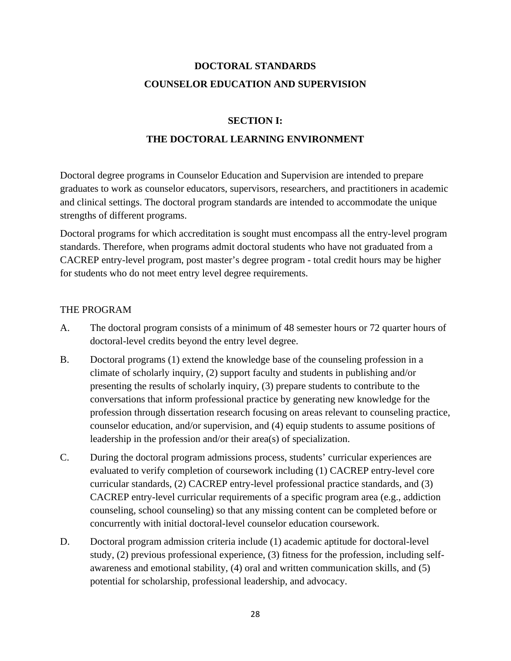# **DOCTORAL STANDARDS COUNSELOR EDUCATION AND SUPERVISION**

#### **SECTION I:**

# **THE DOCTORAL LEARNING ENVIRONMENT**

Doctoral degree programs in Counselor Education and Supervision are intended to prepare graduates to work as counselor educators, supervisors*,* researchers, and practitioners in academic and clinical settings. The doctoral program standards are intended to accommodate the unique strengths of different programs.

Doctoral programs for which accreditation is sought must encompass all the entry-level program standards. Therefore, when programs admit doctoral students who have not graduated from a CACREP entry-level program, post master's degree program - total credit hours may be higher for students who do not meet entry level degree requirements.

# THE PROGRAM

- A. The doctoral program consists of a minimum of 48 semester hours or 72 quarter hours of doctoral-level credits beyond the entry level degree.
- B. Doctoral programs (1) extend the knowledge base of the counseling profession in a climate of scholarly inquiry, (2) support faculty and students in publishing and/or presenting the results of scholarly inquiry, (3) prepare students to contribute to the conversations that inform professional practice by generating new knowledge for the profession through dissertation research focusing on areas relevant to counseling practice, counselor education, and/or supervision, and (4) equip students to assume positions of leadership in the profession and/or their area(s) of specialization.
- C. During the doctoral program admissions process, students' curricular experiences are evaluated to verify completion of coursework including (1) CACREP entry-level core curricular standards, (2) CACREP entry-level professional practice standards, and (3) CACREP entry-level curricular requirements of a specific program area (e.g., addiction counseling, school counseling) so that any missing content can be completed before or concurrently with initial doctoral-level counselor education coursework.
- D. Doctoral program admission criteria include (1) academic aptitude for doctoral-level study, (2) previous professional experience, (3) fitness for the profession, including selfawareness and emotional stability, (4) oral and written communication skills, and (5) potential for scholarship, professional leadership, and advocacy.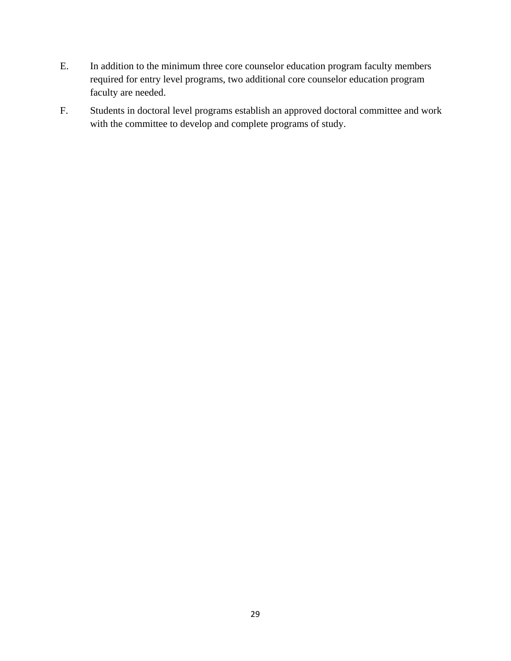- E. In addition to the minimum three core counselor education program faculty members required for entry level programs, two additional core counselor education program faculty are needed.
- F. Students in doctoral level programs establish an approved doctoral committee and work with the committee to develop and complete programs of study.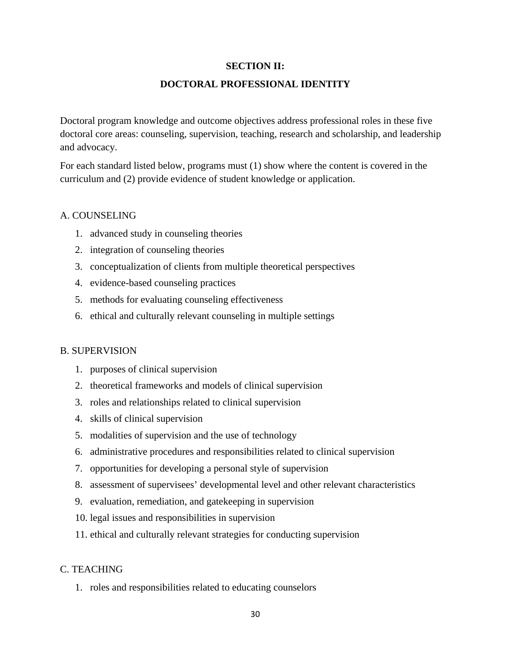#### **SECTION II:**

#### **DOCTORAL PROFESSIONAL IDENTITY**

Doctoral program knowledge and outcome objectives address professional roles in these five doctoral core areas: counseling, supervision, teaching, research and scholarship, and leadership and advocacy.

For each standard listed below, programs must (1) show where the content is covered in the curriculum and (2) provide evidence of student knowledge or application.

#### A. COUNSELING

- 1. advanced study in counseling theories
- 2. integration of counseling theories
- 3. conceptualization of clients from multiple theoretical perspectives
- 4. evidence-based counseling practices
- 5. methods for evaluating counseling effectiveness
- 6. ethical and culturally relevant counseling in multiple settings

#### B. SUPERVISION

- 1. purposes of clinical supervision
- 2. theoretical frameworks and models of clinical supervision
- 3. roles and relationships related to clinical supervision
- 4. skills of clinical supervision
- 5. modalities of supervision and the use of technology
- 6. administrative procedures and responsibilities related to clinical supervision
- 7. opportunities for developing a personal style of supervision
- 8. assessment of supervisees' developmental level and other relevant characteristics
- 9. evaluation, remediation, and gatekeeping in supervision
- 10. legal issues and responsibilities in supervision
- 11. ethical and culturally relevant strategies for conducting supervision

#### C. TEACHING

1. roles and responsibilities related to educating counselors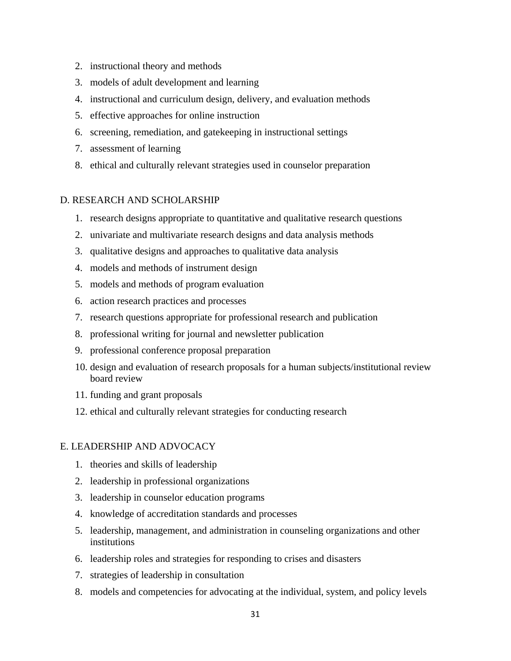- 2. instructional theory and methods
- 3. models of adult development and learning
- 4. instructional and curriculum design, delivery, and evaluation methods
- 5. effective approaches for online instruction
- 6. screening, remediation, and gatekeeping in instructional settings
- 7. assessment of learning
- 8. ethical and culturally relevant strategies used in counselor preparation

# D. RESEARCH AND SCHOLARSHIP

- 1. research designs appropriate to quantitative and qualitative research questions
- 2. univariate and multivariate research designs and data analysis methods
- 3. qualitative designs and approaches to qualitative data analysis
- 4. models and methods of instrument design
- 5. models and methods of program evaluation
- 6. action research practices and processes
- 7. research questions appropriate for professional research and publication
- 8. professional writing for journal and newsletter publication
- 9. professional conference proposal preparation
- 10. design and evaluation of research proposals for a human subjects/institutional review board review
- 11. funding and grant proposals
- 12. ethical and culturally relevant strategies for conducting research

#### E. LEADERSHIP AND ADVOCACY

- 1. theories and skills of leadership
- 2. leadership in professional organizations
- 3. leadership in counselor education programs
- 4. knowledge of accreditation standards and processes
- 5. leadership, management, and administration in counseling organizations and other institutions
- 6. leadership roles and strategies for responding to crises and disasters
- 7. strategies of leadership in consultation
- 8. models and competencies for advocating at the individual, system, and policy levels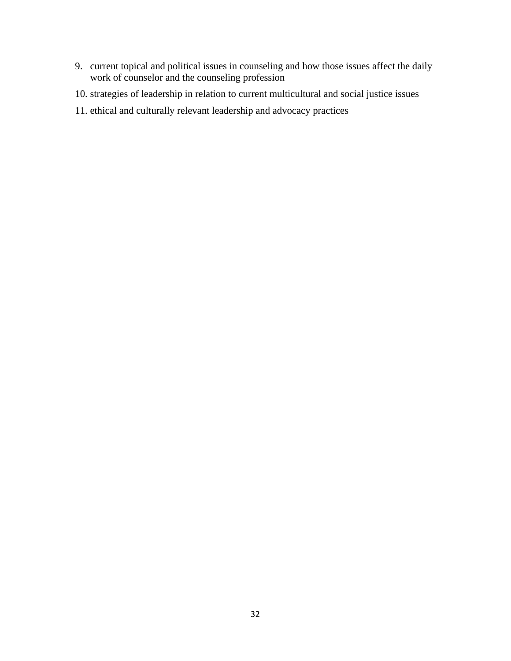- 9. current topical and political issues in counseling and how those issues affect the daily work of counselor and the counseling profession
- 10. strategies of leadership in relation to current multicultural and social justice issues
- 11. ethical and culturally relevant leadership and advocacy practices